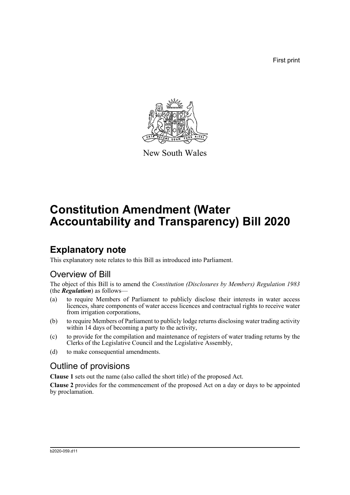First print



New South Wales

# **Constitution Amendment (Water Accountability and Transparency) Bill 2020**

# **Explanatory note**

This explanatory note relates to this Bill as introduced into Parliament.

## Overview of Bill

The object of this Bill is to amend the *Constitution (Disclosures by Members) Regulation 1983* (the *Regulation*) as follows—

- (a) to require Members of Parliament to publicly disclose their interests in water access licences, share components of water access licences and contractual rights to receive water from irrigation corporations,
- (b) to require Members of Parliament to publicly lodge returns disclosing water trading activity within 14 days of becoming a party to the activity,
- (c) to provide for the compilation and maintenance of registers of water trading returns by the Clerks of the Legislative Council and the Legislative Assembly,
- (d) to make consequential amendments.

# Outline of provisions

**Clause 1** sets out the name (also called the short title) of the proposed Act.

**Clause 2** provides for the commencement of the proposed Act on a day or days to be appointed by proclamation.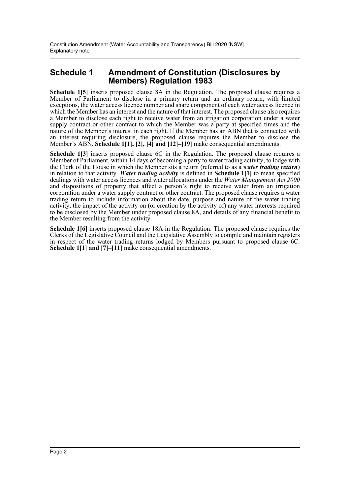## **Schedule 1 Amendment of Constitution (Disclosures by Members) Regulation 1983**

**Schedule 1[5]** inserts proposed clause 8A in the Regulation. The proposed clause requires a Member of Parliament to disclose in a primary return and an ordinary return, with limited exceptions, the water access licence number and share component of each water access licence in which the Member has an interest and the nature of that interest. The proposed clause also requires a Member to disclose each right to receive water from an irrigation corporation under a water supply contract or other contract to which the Member was a party at specified times and the nature of the Member's interest in each right. If the Member has an ABN that is connected with an interest requiring disclosure, the proposed clause requires the Member to disclose the Member's ABN. **Schedule 1[1], [2], [4] and [12]–[19]** make consequential amendments.

**Schedule 1[3]** inserts proposed clause 6C in the Regulation. The proposed clause requires a Member of Parliament, within 14 days of becoming a party to water trading activity, to lodge with the Clerk of the House in which the Member sits a return (referred to as a *water trading return*) in relation to that activity. *Water trading activity* is defined in **Schedule 1[1]** to mean specified dealings with water access licences and water allocations under the *Water Management Act 2000* and dispositions of property that affect a person's right to receive water from an irrigation corporation under a water supply contract or other contract. The proposed clause requires a water trading return to include information about the date, purpose and nature of the water trading activity, the impact of the activity on (or creation by the activity of) any water interests required to be disclosed by the Member under proposed clause 8A, and details of any financial benefit to the Member resulting from the activity.

**Schedule 1[6]** inserts proposed clause 18A in the Regulation. The proposed clause requires the Clerks of the Legislative Council and the Legislative Assembly to compile and maintain registers in respect of the water trading returns lodged by Members pursuant to proposed clause 6C. **Schedule 1[1] and [7]–[11]** make consequential amendments.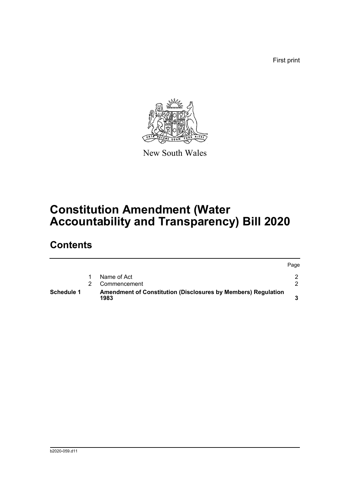First print



New South Wales

# **Constitution Amendment (Water Accountability and Transparency) Bill 2020**

# **Contents**

| <b>Schedule 1</b> | <b>Amendment of Constitution (Disclosures by Members) Regulation</b><br>1983 |      |
|-------------------|------------------------------------------------------------------------------|------|
|                   | Commencement                                                                 |      |
|                   | Name of Act                                                                  |      |
|                   |                                                                              | Page |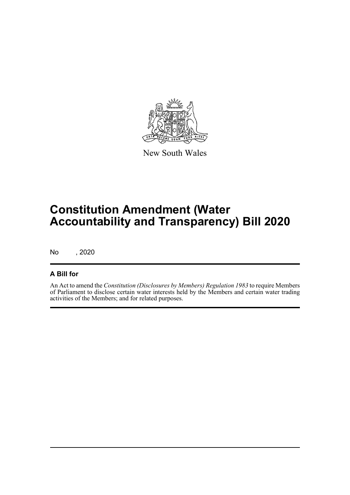

New South Wales

# **Constitution Amendment (Water Accountability and Transparency) Bill 2020**

No , 2020

## **A Bill for**

An Act to amend the *Constitution (Disclosures by Members) Regulation 1983* to require Members of Parliament to disclose certain water interests held by the Members and certain water trading activities of the Members; and for related purposes.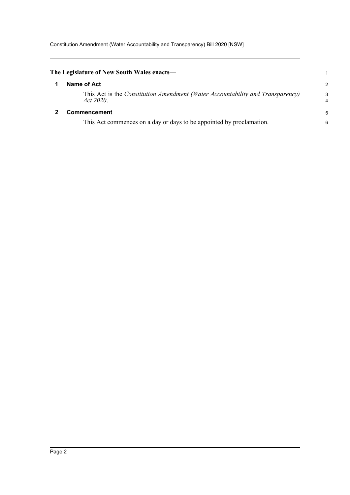Constitution Amendment (Water Accountability and Transparency) Bill 2020 [NSW]

<span id="page-4-1"></span><span id="page-4-0"></span>

| The Legislature of New South Wales enacts—                                                  |        |  |
|---------------------------------------------------------------------------------------------|--------|--|
| Name of Act                                                                                 | 2      |  |
| This Act is the Constitution Amendment (Water Accountability and Transparency)<br>Act 2020. | 3<br>4 |  |
| <b>Commencement</b>                                                                         | 5      |  |
| This Act commences on a day or days to be appointed by proclamation.                        | 6      |  |
|                                                                                             |        |  |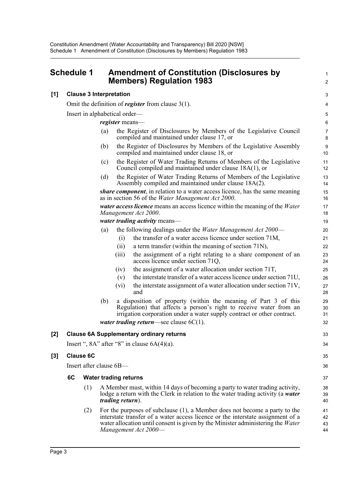<span id="page-5-0"></span>

| <b>Schedule 1</b> | <b>Amendment of Constitution (Disclosures by</b> |
|-------------------|--------------------------------------------------|
|                   | <b>Members) Regulation 1983</b>                  |

### **[1] Clause 3 Interpretation**

Omit the definition of *register* from clause 3(1).

Insert in alphabetical order—

*register* means—

(a) the Register of Disclosures by Members of the Legislative Council compiled and maintained under clause 17, or

1  $\mathfrak{p}$ 

33 34

35 36

- (b) the Register of Disclosures by Members of the Legislative Assembly compiled and maintained under clause 18, or
- (c) the Register of Water Trading Returns of Members of the Legislative Council compiled and maintained under clause 18A(1), or
- (d) the Register of Water Trading Returns of Members of the Legislative Assembly compiled and maintained under clause 18A(2).

*share component*, in relation to a water access licence, has the same meaning as in section 56 of the *Water Management Act 2000*.

*water access licence* means an access licence within the meaning of the *Water Management Act 2000*.

*water trading activity* means—

- (a) the following dealings under the *Water Management Act 2000*
	- (i) the transfer of a water access licence under section 71M,
	- (ii) a term transfer (within the meaning of section 71N),
	- (iii) the assignment of a right relating to a share component of an access licence under section 71Q,
	- (iv) the assignment of a water allocation under section 71T,
	- (v) the interstate transfer of a water access licence under section 71U,
	- (vi) the interstate assignment of a water allocation under section 71V, and
- (b) a disposition of property (within the meaning of Part 3 of this Regulation) that affects a person's right to receive water from an irrigation corporation under a water supply contract or other contract.

*water trading return*—see clause 6C(1).

### **[2] Clause 6A Supplementary ordinary returns**

Insert ",  $8A$ " after " $8$ " in clause  $6A(4)(a)$ .

#### **[3] Clause 6C**

Insert after clause 6B—

#### **6C Water trading returns**

- (1) A Member must, within 14 days of becoming a party to water trading activity, lodge a return with the Clerk in relation to the water trading activity (a *water trading return*).
- (2) For the purposes of subclause (1), a Member does not become a party to the interstate transfer of a water access licence or the interstate assignment of a water allocation until consent is given by the Minister administering the *Water Management Act 2000*— 41 42 43 44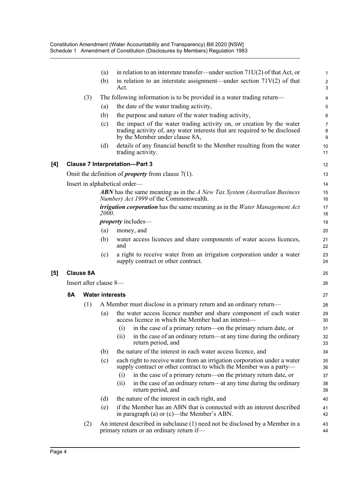|                     |           |                  | (a)                    | in relation to an interstate transfer—under section $71U(2)$ of that Act, or                                                                                                          | $\mathbf{1}$                   |
|---------------------|-----------|------------------|------------------------|---------------------------------------------------------------------------------------------------------------------------------------------------------------------------------------|--------------------------------|
|                     |           |                  | (b)                    | in relation to an interstate assignment—under section $71V(2)$ of that<br>Act.                                                                                                        | $\overline{2}$<br>3            |
|                     |           | (3)              |                        | The following information is to be provided in a water trading return—                                                                                                                | $\overline{4}$                 |
|                     |           |                  | (a)                    | the date of the water trading activity,                                                                                                                                               | 5                              |
|                     |           |                  | (b)                    | the purpose and nature of the water trading activity,                                                                                                                                 | 6                              |
|                     |           |                  | (c)                    | the impact of the water trading activity on, or creation by the water<br>trading activity of, any water interests that are required to be disclosed<br>by the Member under clause 8A, | $\overline{7}$<br>$\bf 8$<br>9 |
|                     |           |                  | (d)                    | details of any financial benefit to the Member resulting from the water<br>trading activity.                                                                                          | 10<br>11                       |
| [4]                 |           |                  |                        | <b>Clause 7 Interpretation-Part 3</b>                                                                                                                                                 | 12                             |
|                     |           |                  |                        | Omit the definition of <i>property</i> from clause $7(1)$ .                                                                                                                           | 13                             |
|                     |           |                  |                        | Insert in alphabetical order—                                                                                                                                                         | 14                             |
|                     |           |                  |                        | <b>ABN</b> has the same meaning as in the A New Tax System (Australian Business<br>Number) Act 1999 of the Commonwealth.                                                              | 15<br>16                       |
|                     |           |                  | <i>2000.</i>           | irrigation corporation has the same meaning as in the Water Management Act                                                                                                            | 17<br>18                       |
|                     |           |                  |                        | <i>property</i> includes—                                                                                                                                                             | 19                             |
|                     |           |                  | (a)                    | money, and                                                                                                                                                                            | 20                             |
|                     |           |                  | (b)                    | water access licences and share components of water access licences,<br>and                                                                                                           | 21<br>22                       |
|                     |           |                  | (c)                    | a right to receive water from an irrigation corporation under a water<br>supply contract or other contract.                                                                           | 23<br>24                       |
| $\lbrack 5 \rbrack$ |           | <b>Clause 8A</b> |                        |                                                                                                                                                                                       | 25                             |
|                     |           |                  | Insert after clause 8- |                                                                                                                                                                                       | 26                             |
|                     | <b>8A</b> |                  | <b>Water interests</b> |                                                                                                                                                                                       | 27                             |
|                     |           | (1)              |                        | A Member must disclose in a primary return and an ordinary return—                                                                                                                    | 28                             |
|                     |           |                  | (a)                    | the water access licence number and share component of each water<br>access licence in which the Member had an interest-                                                              | 29<br>30                       |
|                     |           |                  |                        | (i) in the case of a primary return—on the primary return date, or                                                                                                                    | 31                             |
|                     |           |                  |                        | in the case of an ordinary return—at any time during the ordinary<br>(ii)<br>return period, and                                                                                       | 32<br>33                       |
|                     |           |                  | (b)                    | the nature of the interest in each water access licence, and                                                                                                                          | 34                             |
|                     |           |                  | (c)                    | each right to receive water from an irrigation corporation under a water<br>supply contract or other contract to which the Member was a party-                                        | 35<br>36                       |
|                     |           |                  |                        | in the case of a primary return—on the primary return date, or<br>(i)                                                                                                                 | 37                             |
|                     |           |                  |                        | in the case of an ordinary return—at any time during the ordinary<br>(ii)<br>return period, and                                                                                       | 38<br>39                       |
|                     |           |                  | (d)                    | the nature of the interest in each right, and                                                                                                                                         | 40                             |
|                     |           |                  | (e)                    | if the Member has an ABN that is connected with an interest described<br>in paragraph (a) or (c)—the Member's ABN.                                                                    | 41<br>42                       |
|                     |           | (2)              |                        | An interest described in subclause (1) need not be disclosed by a Member in a<br>primary return or an ordinary return if-                                                             | 43<br>44                       |

 $[5]$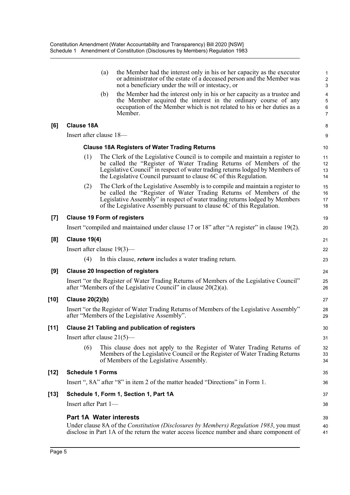|       |                                                                                                                                                              | (a) | the Member had the interest only in his or her capacity as the executor<br>or administrator of the estate of a deceased person and the Member was<br>not a beneficiary under the will or intestacy, or                                                                                                       | $\mathbf{1}$<br>$\sqrt{2}$<br>$\sqrt{3}$                            |
|-------|--------------------------------------------------------------------------------------------------------------------------------------------------------------|-----|--------------------------------------------------------------------------------------------------------------------------------------------------------------------------------------------------------------------------------------------------------------------------------------------------------------|---------------------------------------------------------------------|
|       |                                                                                                                                                              | (b) | the Member had the interest only in his or her capacity as a trustee and<br>the Member acquired the interest in the ordinary course of any<br>occupation of the Member which is not related to his or her duties as a<br>Member.                                                                             | $\overline{\mathbf{4}}$<br>$\mathbf 5$<br>$\,6\,$<br>$\overline{7}$ |
| [6]   | <b>Clause 18A</b>                                                                                                                                            |     |                                                                                                                                                                                                                                                                                                              | 8                                                                   |
|       | Insert after clause 18-                                                                                                                                      |     |                                                                                                                                                                                                                                                                                                              | 9                                                                   |
|       |                                                                                                                                                              |     | <b>Clause 18A Registers of Water Trading Returns</b>                                                                                                                                                                                                                                                         | 10                                                                  |
|       | (1)                                                                                                                                                          |     | The Clerk of the Legislative Council is to compile and maintain a register to<br>be called the "Register of Water Trading Returns of Members of the<br>Legislative Council" in respect of water trading returns lodged by Members of<br>the Legislative Council pursuant to clause 6C of this Regulation.    | 11<br>12<br>13<br>14                                                |
|       | (2)                                                                                                                                                          |     | The Clerk of the Legislative Assembly is to compile and maintain a register to<br>be called the "Register of Water Trading Returns of Members of the<br>Legislative Assembly" in respect of water trading returns lodged by Members<br>of the Legislative Assembly pursuant to clause 6C of this Regulation. | 15<br>16<br>17<br>18                                                |
| $[7]$ |                                                                                                                                                              |     | <b>Clause 19 Form of registers</b>                                                                                                                                                                                                                                                                           | 19                                                                  |
|       |                                                                                                                                                              |     | Insert "compiled and maintained under clause 17 or 18" after "A register" in clause 19(2).                                                                                                                                                                                                                   | 20                                                                  |
| [8]   | <b>Clause 19(4)</b>                                                                                                                                          |     |                                                                                                                                                                                                                                                                                                              | 21                                                                  |
|       | Insert after clause $19(3)$ —                                                                                                                                |     |                                                                                                                                                                                                                                                                                                              | 22                                                                  |
|       | (4)                                                                                                                                                          |     | In this clause, <i>return</i> includes a water trading return.                                                                                                                                                                                                                                               | 23                                                                  |
| [9]   |                                                                                                                                                              |     | <b>Clause 20 Inspection of registers</b>                                                                                                                                                                                                                                                                     | 24                                                                  |
|       | Insert "or the Register of Water Trading Returns of Members of the Legislative Council"<br>after "Members of the Legislative Council" in clause $20(2)(a)$ . |     |                                                                                                                                                                                                                                                                                                              |                                                                     |
| [10]  | <b>Clause 20(2)(b)</b>                                                                                                                                       |     |                                                                                                                                                                                                                                                                                                              | 27                                                                  |
|       |                                                                                                                                                              |     | Insert "or the Register of Water Trading Returns of Members of the Legislative Assembly"<br>after "Members of the Legislative Assembly".                                                                                                                                                                     | 28<br>29                                                            |
| [11]  |                                                                                                                                                              |     | <b>Clause 21 Tabling and publication of registers</b>                                                                                                                                                                                                                                                        | 30                                                                  |
|       | Insert after clause $21(5)$ —                                                                                                                                |     |                                                                                                                                                                                                                                                                                                              | 31                                                                  |
|       | (6)                                                                                                                                                          |     | This clause does not apply to the Register of Water Trading Returns of<br>Members of the Legislative Council or the Register of Water Trading Returns<br>of Members of the Legislative Assembly.                                                                                                             | 32<br>33<br>34                                                      |
| [12]  | <b>Schedule 1 Forms</b>                                                                                                                                      |     |                                                                                                                                                                                                                                                                                                              | 35                                                                  |
|       |                                                                                                                                                              |     | Insert ", 8A" after "8" in item 2 of the matter headed "Directions" in Form 1.                                                                                                                                                                                                                               | 36                                                                  |
| [13]  |                                                                                                                                                              |     | Schedule 1, Form 1, Section 1, Part 1A                                                                                                                                                                                                                                                                       | 37                                                                  |
|       | Insert after Part 1—                                                                                                                                         |     |                                                                                                                                                                                                                                                                                                              | 38                                                                  |
|       | <b>Part 1A Water interests</b>                                                                                                                               |     |                                                                                                                                                                                                                                                                                                              | 39                                                                  |
|       |                                                                                                                                                              |     | Under clause 8A of the Constitution (Disclosures by Members) Regulation 1983, you must<br>disclose in Part 1A of the return the water access licence number and share component of                                                                                                                           | 40<br>41                                                            |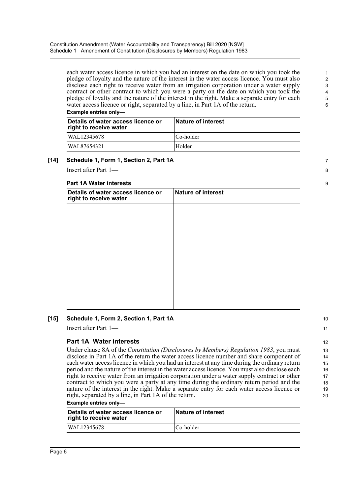each water access licence in which you had an interest on the date on which you took the pledge of loyalty and the nature of the interest in the water access licence. You must also disclose each right to receive water from an irrigation corporation under a water supply contract or other contract to which you were a party on the date on which you took the pledge of loyalty and the nature of the interest in the right. Make a separate entry for each water access licence or right, separated by a line, in Part 1A of the return.

#### **Example entries only—**

| Details of water access licence or<br>right to receive water | <b>Nature of interest</b> |
|--------------------------------------------------------------|---------------------------|
| WAL12345678                                                  | Co-holder                 |
| WAL87654321                                                  | Holder                    |

### **[14] Schedule 1, Form 1, Section 2, Part 1A**

Insert after Part 1—

#### **Part 1A Water interests**

| Details of water access licence or<br>right to receive water | <b>Nature of interest</b> |  |
|--------------------------------------------------------------|---------------------------|--|
|                                                              |                           |  |
|                                                              |                           |  |
|                                                              |                           |  |
|                                                              |                           |  |
|                                                              |                           |  |
|                                                              |                           |  |
|                                                              |                           |  |
|                                                              |                           |  |

### **[15] Schedule 1, Form 2, Section 1, Part 1A**

Insert after Part 1—

### **Part 1A Water interests**

Under clause 8A of the *Constitution (Disclosures by Members) Regulation 1983*, you must disclose in Part 1A of the return the water access licence number and share component of each water access licence in which you had an interest at any time during the ordinary return period and the nature of the interest in the water access licence. You must also disclose each right to receive water from an irrigation corporation under a water supply contract or other contract to which you were a party at any time during the ordinary return period and the nature of the interest in the right. Make a separate entry for each water access licence or right, separated by a line, in Part 1A of the return.

**Example entries only—** 

| Details of water access licence or<br>right to receive water | Nature of interest |
|--------------------------------------------------------------|--------------------|
| WAL12345678                                                  | Co-holder          |

7

8

 $\overline{Q}$ 

10 11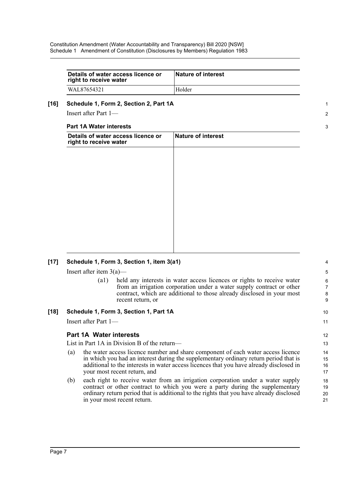| Details of water access licence or<br>right to receive water | <b>Nature of interest</b> |
|--------------------------------------------------------------|---------------------------|
| WAL87654321                                                  | Holder                    |

1 2

3

10 11

#### **[16] Schedule 1, Form 2, Section 2, Part 1A**

Insert after Part 1—

#### **Part 1A Water interests**

| Details of water access licence or<br>right to receive water | Nature of interest |  |
|--------------------------------------------------------------|--------------------|--|
|                                                              |                    |  |
|                                                              |                    |  |
|                                                              |                    |  |
|                                                              |                    |  |
|                                                              |                    |  |
|                                                              |                    |  |
|                                                              |                    |  |

### **[17] Schedule 1, Form 3, Section 1, item 3(a1)**

Insert after item  $3(a)$ —

(a1) held any interests in water access licences or rights to receive water from an irrigation corporation under a water supply contract or other contract, which are additional to those already disclosed in your most recent return, or

### **[18] Schedule 1, Form 3, Section 1, Part 1A**

Insert after Part 1—

### **Part 1A Water interests**

List in Part 1A in Division B of the return—

- (a) the water access licence number and share component of each water access licence in which you had an interest during the supplementary ordinary return period that is additional to the interests in water access licences that you have already disclosed in your most recent return, and
- (b) each right to receive water from an irrigation corporation under a water supply contract or other contract to which you were a party during the supplementary ordinary return period that is additional to the rights that you have already disclosed in your most recent return.